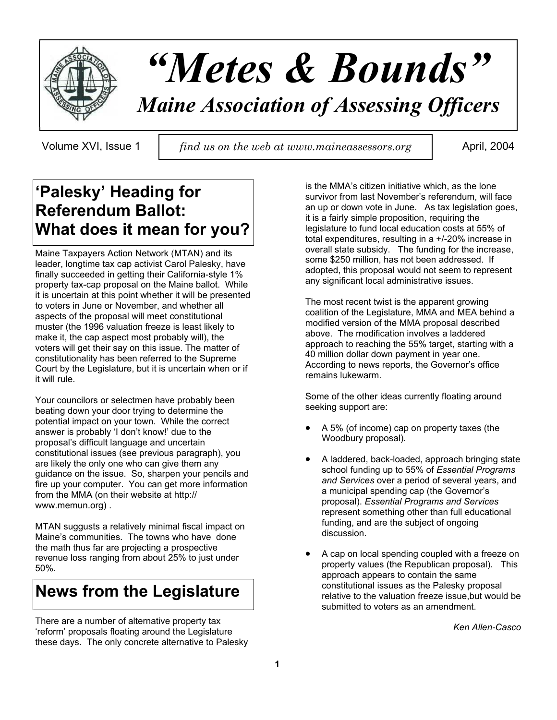

# *"Metes & Bounds"*

# *Maine Association of Assessing Officers*

Volume XVI, Issue 1 *find us on the web at www.maineassessors.org* | April, 2004

# **'Palesky' Heading for Referendum Ballot: What does it mean for you?**

Maine Taxpayers Action Network (MTAN) and its leader, longtime tax cap activist Carol Palesky, have finally succeeded in getting their California-style 1% property tax-cap proposal on the Maine ballot. While it is uncertain at this point whether it will be presented to voters in June or November, and whether all aspects of the proposal will meet constitutional muster (the 1996 valuation freeze is least likely to make it, the cap aspect most probably will), the voters will get their say on this issue. The matter of constitutionality has been referred to the Supreme Court by the Legislature, but it is uncertain when or if it will rule.

Your councilors or selectmen have probably been beating down your door trying to determine the potential impact on your town. While the correct answer is probably 'I don't know!' due to the proposal's difficult language and uncertain constitutional issues (see previous paragraph), you are likely the only one who can give them any guidance on the issue. So, sharpen your pencils and fire up your computer. You can get more information from the MMA (on their website at http:// www.memun.org) .

MTAN suggusts a relatively minimal fiscal impact on Maine's communities. The towns who have done the math thus far are projecting a prospective revenue loss ranging from about 25% to just under 50%.

# **News from the Legislature**

There are a number of alternative property tax 'reform' proposals floating around the Legislature these days. The only concrete alternative to Palesky

is the MMA's citizen initiative which, as the lone survivor from last November's referendum, will face an up or down vote in June. As tax legislation goes, it is a fairly simple proposition, requiring the legislature to fund local education costs at 55% of total expenditures, resulting in a +/-20% increase in overall state subsidy. The funding for the increase, some \$250 million, has not been addressed. If adopted, this proposal would not seem to represent any significant local administrative issues.

The most recent twist is the apparent growing coalition of the Legislature, MMA and MEA behind a modified version of the MMA proposal described above. The modification involves a laddered approach to reaching the 55% target, starting with a 40 million dollar down payment in year one. According to news reports, the Governor's office remains lukewarm.

Some of the other ideas currently floating around seeking support are:

- A 5% (of income) cap on property taxes (the Woodbury proposal).
- A laddered, back-loaded, approach bringing state school funding up to 55% of *Essential Programs and Services* over a period of several years, and a municipal spending cap (the Governor's proposal). *Essential Programs and Services* represent something other than full educational funding, and are the subject of ongoing discussion.
- A cap on local spending coupled with a freeze on property values (the Republican proposal). This approach appears to contain the same constitutional issues as the Palesky proposal relative to the valuation freeze issue,but would be submitted to voters as an amendment.

*Ken Allen-Casco*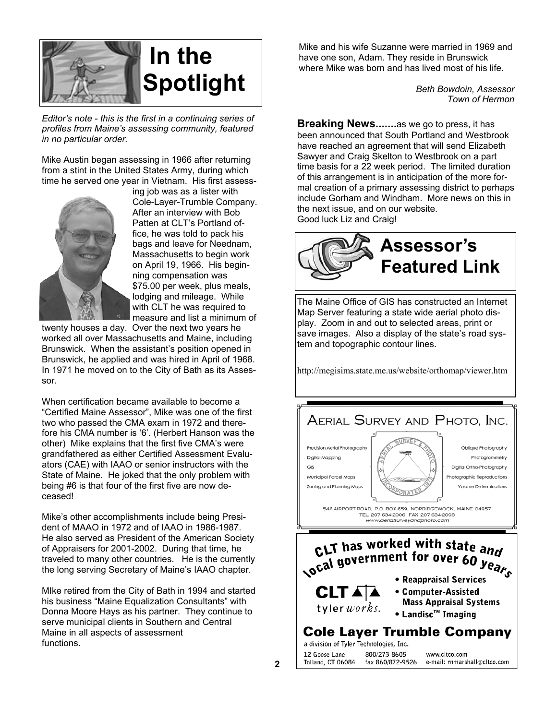

*Editor's note - this is the first in a continuing series of profiles from Maine's assessing community, featured in no particular order.*

Mike Austin began assessing in 1966 after returning from a stint in the United States Army, during which time he served one year in Vietnam. His first assess-



ing job was as a lister with Cole-Layer-Trumble Company. After an interview with Bob Patten at CLT's Portland office, he was told to pack his bags and leave for Neednam, Massachusetts to begin work on April 19, 1966. His beginning compensation was \$75.00 per week, plus meals, lodging and mileage. While with CLT he was required to measure and list a minimum of

twenty houses a day. Over the next two years he worked all over Massachusetts and Maine, including Brunswick. When the assistant's position opened in Brunswick, he applied and was hired in April of 1968. In 1971 he moved on to the City of Bath as its Assessor.

When certification became available to become a "Certified Maine Assessor", Mike was one of the first two who passed the CMA exam in 1972 and therefore his CMA number is '6'. (Herbert Hanson was the other) Mike explains that the first five CMA's were grandfathered as either Certified Assessment Evaluators (CAE) with IAAO or senior instructors with the State of Maine. He joked that the only problem with being #6 is that four of the first five are now deceased!

Mike's other accomplishments include being President of MAAO in 1972 and of IAAO in 1986-1987. He also served as President of the American Society of Appraisers for 2001-2002. During that time, he traveled to many other countries. He is the currently the long serving Secretary of Maine's IAAO chapter.

MIke retired from the City of Bath in 1994 and started his business "Maine Equalization Consultants" with Donna Moore Hays as his partner. They continue to serve municipal clients in Southern and Central Maine in all aspects of assessment functions.

Mike and his wife Suzanne were married in 1969 and have one son, Adam. They reside in Brunswick where Mike was born and has lived most of his life.

> *Beth Bowdoin, Assessor Town of Hermon*

**Breaking News.......**as we go to press, it has been announced that South Portland and Westbrook have reached an agreement that will send Elizabeth Sawyer and Craig Skelton to Westbrook on a part time basis for a 22 week period. The limited duration of this arrangement is in anticipation of the more formal creation of a primary assessing district to perhaps include Gorham and Windham. More news on this in the next issue, and on our website. Good luck Liz and Craig!



The Maine Office of GIS has constructed an Internet Map Server featuring a state wide aerial photo display. Zoom in and out to selected areas, print or save images. Also a display of the state's road system and topographic contour lines.

http://megisims.state.me.us/website/orthomap/viewer.htm

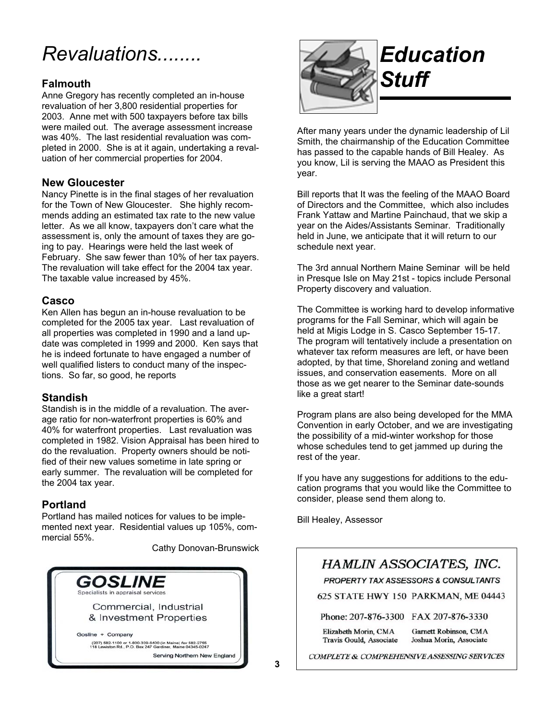# *Revaluations........*

## **Falmouth**

Anne Gregory has recently completed an in-house revaluation of her 3,800 residential properties for 2003. Anne met with 500 taxpayers before tax bills were mailed out. The average assessment increase was 40%. The last residential revaluation was completed in 2000. She is at it again, undertaking a revaluation of her commercial properties for 2004.

## **New Gloucester**

Nancy Pinette is in the final stages of her revaluation for the Town of New Gloucester. She highly recommends adding an estimated tax rate to the new value letter. As we all know, taxpayers don't care what the assessment is, only the amount of taxes they are going to pay. Hearings were held the last week of February. She saw fewer than 10% of her tax payers. The revaluation will take effect for the 2004 tax year. The taxable value increased by 45%.

## **Casco**

Ken Allen has begun an in-house revaluation to be completed for the 2005 tax year. Last revaluation of all properties was completed in 1990 and a land update was completed in 1999 and 2000. Ken says that he is indeed fortunate to have engaged a number of well qualified listers to conduct many of the inspections. So far, so good, he reports

## **Standish**

Standish is in the middle of a revaluation. The average ratio for non-waterfront properties is 60% and 40% for waterfront properties. Last revaluation was completed in 1982. Vision Appraisal has been hired to do the revaluation. Property owners should be notified of their new values sometime in late spring or early summer. The revaluation will be completed for the 2004 tax year.

## **Portland**

Portland has mailed notices for values to be implemented next year. Residential values up 105%, commercial 55%.

Cathy Donovan-Brunswick





After many years under the dynamic leadership of Lil Smith, the chairmanship of the Education Committee has passed to the capable hands of Bill Healey. As you know, Lil is serving the MAAO as President this year.

Bill reports that It was the feeling of the MAAO Board of Directors and the Committee, which also includes Frank Yattaw and Martine Painchaud, that we skip a year on the Aides/Assistants Seminar. Traditionally held in June, we anticipate that it will return to our schedule next year.

The 3rd annual Northern Maine Seminar will be held in Presque Isle on May 21st - topics include Personal Property discovery and valuation.

The Committee is working hard to develop informative programs for the Fall Seminar, which will again be held at Migis Lodge in S. Casco September 15-17. The program will tentatively include a presentation on whatever tax reform measures are left, or have been adopted, by that time, Shoreland zoning and wetland issues, and conservation easements. More on all those as we get nearer to the Seminar date-sounds like a great start!

Program plans are also being developed for the MMA Convention in early October, and we are investigating the possibility of a mid-winter workshop for those whose schedules tend to get jammed up during the rest of the year.

If you have any suggestions for additions to the education programs that you would like the Committee to consider, please send them along to.

Bill Healey, Assessor

# HAMLIN ASSOCIATES, INC.

PROPERTY TAX ASSESSORS & CONSULTANTS

625 STATE HWY 150 PARKMAN, ME 04443

Phone: 207-876-3300 FAX 207-876-3330

Garnett Robinson, CMA Elizabeth Morin, CMA Joshua Morin, Associate Travis Gould, Associate

COMPLETE & COMPREHENSIVE ASSESSING SERVICES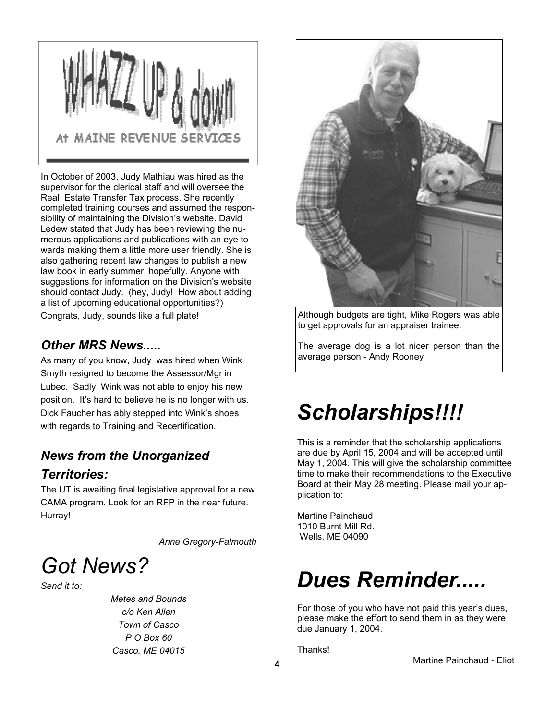

In October of 2003, Judy Mathiau was hired as the supervisor for the clerical staff and will oversee the Real Estate Transfer Tax process. She recently completed training courses and assumed the responsibility of maintaining the Division's website. David Ledew stated that Judy has been reviewing the numerous applications and publications with an eye towards making them a little more user friendly. She is also gathering recent law changes to publish a new law book in early summer, hopefully. Anyone with suggestions for information on the Division's website should contact Judy. (hey, Judy! How about adding a list of upcoming educational opportunities?) Congrats, Judy, sounds like a full plate!

# *Other MRS News.....*

As many of you know, Judy was hired when Wink Smyth resigned to become the Assessor/Mgr in Lubec. Sadly, Wink was not able to enjoy his new position. It's hard to believe he is no longer with us. Dick Faucher has ably stepped into Wink's shoes with regards to Training and Recertification.

# *News from the Unorganized Territories:*

The UT is awaiting final legislative approval for a new CAMA program. Look for an RFP in the near future. Hurray!

*Anne Gregory-Falmouth*



*Send it to:*

*Metes and Bounds c/o Ken Allen Town of Casco P O Box 60 Casco, ME 04015*



Although budgets are tight, Mike Rogers was able to get approvals for an appraiser trainee.

The average dog is a lot nicer person than the average person - Andy Rooney

# *Scholarships!!!!*

This is a reminder that the scholarship applications are due by April 15, 2004 and will be accepted until May 1, 2004. This will give the scholarship committee time to make their recommendations to the Executive Board at their May 28 meeting. Please mail your application to:

Martine Painchaud 1010 Burnt Mill Rd. Wells, ME 04090

# *Dues Reminder.....*

For those of you who have not paid this year's dues, please make the effort to send them in as they were due January 1, 2004.

Thanks!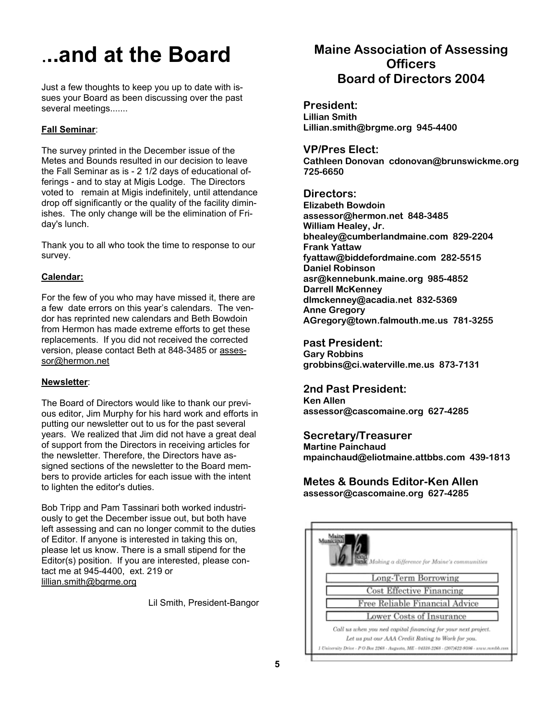# .**..and at the Board**

Just a few thoughts to keep you up to date with issues your Board as been discussing over the past several meetings.......

#### **Fall Seminar:**

The survey printed in the December issue of the Metes and Bounds resulted in our decision to leave the Fall Seminar as is - 2 1/2 days of educational offerings - and to stay at Migis Lodge. The Directors voted to remain at Migis indefinitely, until attendance drop off significantly or the quality of the facility diminishes. The only change will be the elimination of Friday's lunch.

Thank you to all who took the time to response to our survey.

#### **Calendar:**

For the few of you who may have missed it, there are a few date errors on this year's calendars. The vendor has reprinted new calendars and Beth Bowdoin from Hermon has made extreme efforts to get these replacements. If you did not received the corrected version, please contact Beth at 848-3485 or assessor@hermon.net

### **Newsletter** :

The Board of Directors would like to thank our previous editor, Jim Murphy for his hard work and efforts in putting our newsletter out to us for the past several years. We realized that Jim did not have a great deal of support from the Directors in receiving articles for the newsletter. Therefore, the Directors have assigned sections of the newsletter to the Board members to provide articles for each issue with the intent to lighten the editor's duties.

Bob Tripp and Pam Tassinari both worked industriously to get the December issue out, but both have left assessing and can no longer commit to the duties of Editor. If anyone is interested in taking this on, please let us know. There is a small stipend for the Editor(s) position. If you are interested, please contact me at 945-4400, ext. 219 or lillian.smith@bgrme.org

Lil Smith, President-Bangor

# **Maine Association of Assessing Officers Board of Directors 2004**

**President: Lillian Smith Lillian.smith@brgme.org 945-4400**

**VP/Pres Elect: Cathleen Donovan cdonovan@brunswickme.org 725-6650**

#### **Directors:**

**Elizabeth Bowdoin assessor@hermon.net 848-3485 William Healey, Jr. bhealey@cumberlandmaine.com 829-2204 Frank Yattaw fyattaw@biddefordmaine.com 282-5515 Daniel Robinson asr@kennebunk.maine.org 985-4852 Darrell McKenney dlmckenney@acadia.net 832-5369 Anne Gregory AGregory@town.falmouth.me.us 781-3255**

**Past President: Gary Robbins grobbins@ci.waterville.me.us 873-7131**

**2nd Past President: Ken Allen**

**assessor@cascomaine.org 627-4285**

### **Secretary/Treasurer**

**Martine Painchaud mpainchaud@eliotmaine.attbbs.com 439-1813**

**Metes & Bounds Editor-Ken Allen assessor@cascomaine.org 627-4285**